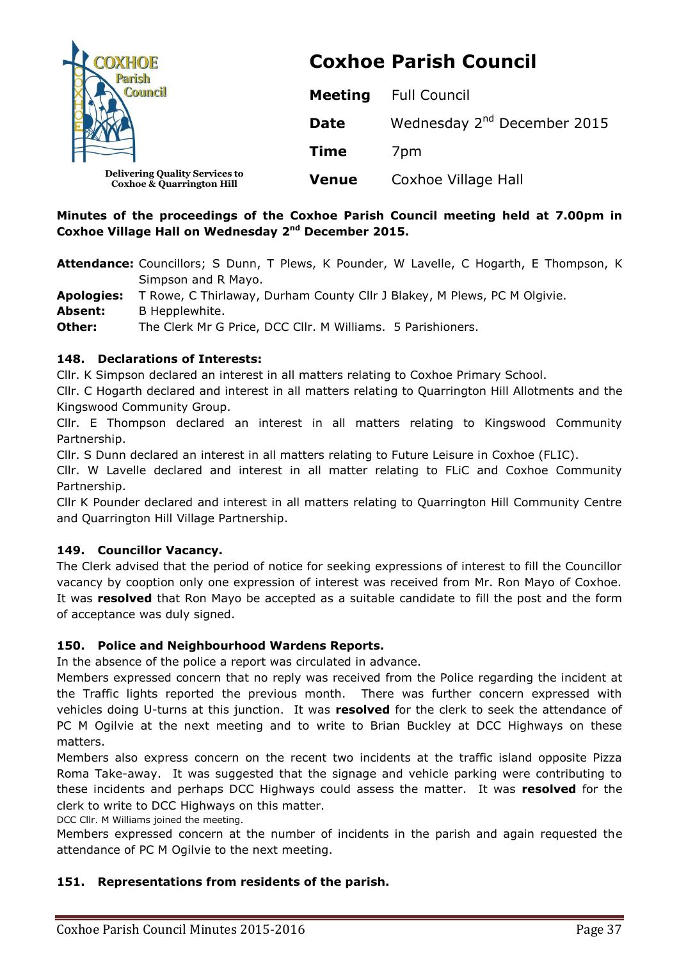| <b>DXHOE</b>                                                                  | <b>Coxhoe Parish Council</b> |                                         |
|-------------------------------------------------------------------------------|------------------------------|-----------------------------------------|
|                                                                               | <b>Meeting</b>               | <b>Full Council</b>                     |
|                                                                               | <b>Date</b>                  | Wednesday 2 <sup>nd</sup> December 2015 |
|                                                                               | <b>Time</b>                  | 7 <sub>pm</sub>                         |
| <b>Delivering Quality Services to</b><br><b>Coxhoe &amp; Quarrington Hill</b> | <b>Venue</b>                 | Coxhoe Village Hall                     |

## **Minutes of the proceedings of the Coxhoe Parish Council meeting held at 7.00pm in Coxhoe Village Hall on Wednesday 2 nd December 2015.**

**Attendance:** Councillors; S Dunn, T Plews, K Pounder, W Lavelle, C Hogarth, E Thompson, K Simpson and R Mayo.

**Apologies:** T Rowe, C Thirlaway, Durham County Cllr J Blakey, M Plews, PC M Olgivie.

Absent: B Hepplewhite.

**Other:** The Clerk Mr G Price, DCC Cllr. M Williams. 5 Parishioners.

## **148. Declarations of Interests:**

Cllr. K Simpson declared an interest in all matters relating to Coxhoe Primary School.

Cllr. C Hogarth declared and interest in all matters relating to Quarrington Hill Allotments and the Kingswood Community Group.

Cllr. E Thompson declared an interest in all matters relating to Kingswood Community Partnership.

Cllr. S Dunn declared an interest in all matters relating to Future Leisure in Coxhoe (FLIC).

Cllr. W Lavelle declared and interest in all matter relating to FLiC and Coxhoe Community Partnership.

Cllr K Pounder declared and interest in all matters relating to Quarrington Hill Community Centre and Quarrington Hill Village Partnership.

# **149. Councillor Vacancy.**

The Clerk advised that the period of notice for seeking expressions of interest to fill the Councillor vacancy by cooption only one expression of interest was received from Mr. Ron Mayo of Coxhoe. It was **resolved** that Ron Mayo be accepted as a suitable candidate to fill the post and the form of acceptance was duly signed.

# **150. Police and Neighbourhood Wardens Reports.**

In the absence of the police a report was circulated in advance.

Members expressed concern that no reply was received from the Police regarding the incident at the Traffic lights reported the previous month. There was further concern expressed with vehicles doing U-turns at this junction. It was **resolved** for the clerk to seek the attendance of PC M Ogilvie at the next meeting and to write to Brian Buckley at DCC Highways on these matters.

Members also express concern on the recent two incidents at the traffic island opposite Pizza Roma Take-away. It was suggested that the signage and vehicle parking were contributing to these incidents and perhaps DCC Highways could assess the matter. It was **resolved** for the clerk to write to DCC Highways on this matter.

DCC Cllr. M Williams joined the meeting.

Members expressed concern at the number of incidents in the parish and again requested the attendance of PC M Ogilvie to the next meeting.

## **151. Representations from residents of the parish.**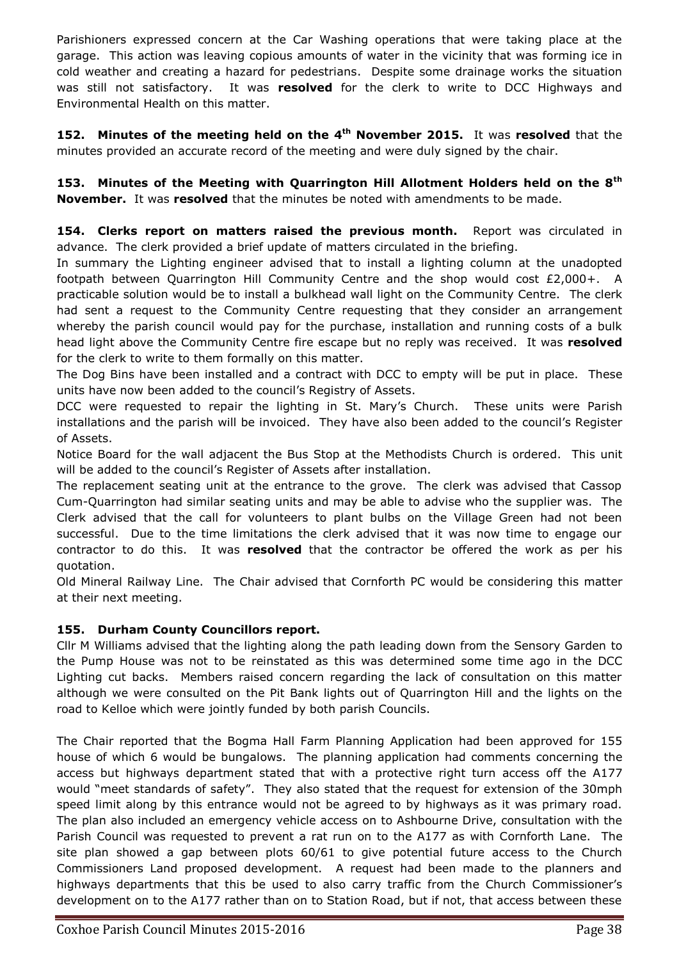Parishioners expressed concern at the Car Washing operations that were taking place at the garage. This action was leaving copious amounts of water in the vicinity that was forming ice in cold weather and creating a hazard for pedestrians. Despite some drainage works the situation was still not satisfactory. It was **resolved** for the clerk to write to DCC Highways and Environmental Health on this matter.

**152. Minutes of the meeting held on the 4<sup>th</sup> November 2015. It was resolved that the** minutes provided an accurate record of the meeting and were duly signed by the chair.

**153. Minutes of the Meeting with Quarrington Hill Allotment Holders held on the 8th November.** It was **resolved** that the minutes be noted with amendments to be made.

**154. Clerks report on matters raised the previous month.** Report was circulated in advance. The clerk provided a brief update of matters circulated in the briefing.

In summary the Lighting engineer advised that to install a lighting column at the unadopted footpath between Quarrington Hill Community Centre and the shop would cost £2,000+. A practicable solution would be to install a bulkhead wall light on the Community Centre. The clerk had sent a request to the Community Centre requesting that they consider an arrangement whereby the parish council would pay for the purchase, installation and running costs of a bulk head light above the Community Centre fire escape but no reply was received. It was **resolved** for the clerk to write to them formally on this matter.

The Dog Bins have been installed and a contract with DCC to empty will be put in place. These units have now been added to the council's Registry of Assets.

DCC were requested to repair the lighting in St. Mary's Church. These units were Parish installations and the parish will be invoiced. They have also been added to the council's Register of Assets.

Notice Board for the wall adjacent the Bus Stop at the Methodists Church is ordered. This unit will be added to the council's Register of Assets after installation.

The replacement seating unit at the entrance to the grove. The clerk was advised that Cassop Cum-Quarrington had similar seating units and may be able to advise who the supplier was. The Clerk advised that the call for volunteers to plant bulbs on the Village Green had not been successful. Due to the time limitations the clerk advised that it was now time to engage our contractor to do this. It was **resolved** that the contractor be offered the work as per his quotation.

Old Mineral Railway Line. The Chair advised that Cornforth PC would be considering this matter at their next meeting.

# **155. Durham County Councillors report.**

Cllr M Williams advised that the lighting along the path leading down from the Sensory Garden to the Pump House was not to be reinstated as this was determined some time ago in the DCC Lighting cut backs. Members raised concern regarding the lack of consultation on this matter although we were consulted on the Pit Bank lights out of Quarrington Hill and the lights on the road to Kelloe which were jointly funded by both parish Councils.

The Chair reported that the Bogma Hall Farm Planning Application had been approved for 155 house of which 6 would be bungalows. The planning application had comments concerning the access but highways department stated that with a protective right turn access off the A177 would "meet standards of safety". They also stated that the request for extension of the 30mph speed limit along by this entrance would not be agreed to by highways as it was primary road. The plan also included an emergency vehicle access on to Ashbourne Drive, consultation with the Parish Council was requested to prevent a rat run on to the A177 as with Cornforth Lane. The site plan showed a gap between plots 60/61 to give potential future access to the Church Commissioners Land proposed development. A request had been made to the planners and highways departments that this be used to also carry traffic from the Church Commissioner's development on to the A177 rather than on to Station Road, but if not, that access between these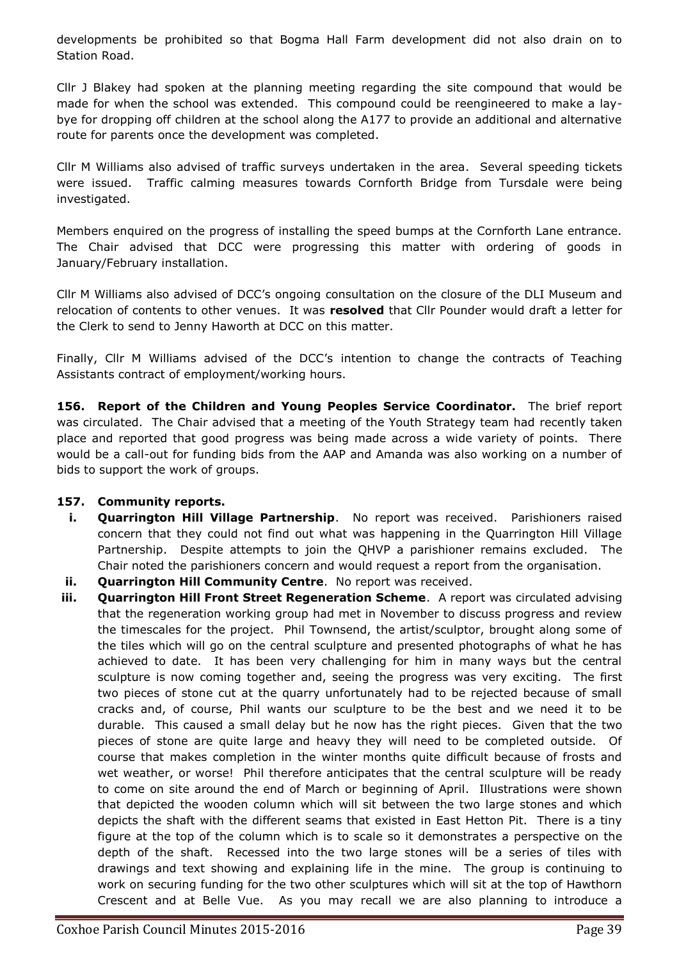developments be prohibited so that Bogma Hall Farm development did not also drain on to Station Road.

Cllr J Blakey had spoken at the planning meeting regarding the site compound that would be made for when the school was extended. This compound could be reengineered to make a laybye for dropping off children at the school along the A177 to provide an additional and alternative route for parents once the development was completed.

Cllr M Williams also advised of traffic surveys undertaken in the area. Several speeding tickets were issued. Traffic calming measures towards Cornforth Bridge from Tursdale were being investigated.

Members enquired on the progress of installing the speed bumps at the Cornforth Lane entrance. The Chair advised that DCC were progressing this matter with ordering of goods in January/February installation.

Cllr M Williams also advised of DCC's ongoing consultation on the closure of the DLI Museum and relocation of contents to other venues. It was **resolved** that Cllr Pounder would draft a letter for the Clerk to send to Jenny Haworth at DCC on this matter.

Finally, Cllr M Williams advised of the DCC's intention to change the contracts of Teaching Assistants contract of employment/working hours.

**156. Report of the Children and Young Peoples Service Coordinator.** The brief report was circulated. The Chair advised that a meeting of the Youth Strategy team had recently taken place and reported that good progress was being made across a wide variety of points. There would be a call-out for funding bids from the AAP and Amanda was also working on a number of bids to support the work of groups.

## **157. Community reports.**

- **i. Quarrington Hill Village Partnership**. No report was received. Parishioners raised concern that they could not find out what was happening in the Quarrington Hill Village Partnership. Despite attempts to join the QHVP a parishioner remains excluded. The Chair noted the parishioners concern and would request a report from the organisation.
- **ii. Quarrington Hill Community Centre**. No report was received.
- **iii. Quarrington Hill Front Street Regeneration Scheme**. A report was circulated advising that the regeneration working group had met in November to discuss progress and review the timescales for the project. Phil Townsend, the artist/sculptor, brought along some of the tiles which will go on the central sculpture and presented photographs of what he has achieved to date. It has been very challenging for him in many ways but the central sculpture is now coming together and, seeing the progress was very exciting. The first two pieces of stone cut at the quarry unfortunately had to be rejected because of small cracks and, of course, Phil wants our sculpture to be the best and we need it to be durable. This caused a small delay but he now has the right pieces. Given that the two pieces of stone are quite large and heavy they will need to be completed outside. Of course that makes completion in the winter months quite difficult because of frosts and wet weather, or worse! Phil therefore anticipates that the central sculpture will be ready to come on site around the end of March or beginning of April. Illustrations were shown that depicted the wooden column which will sit between the two large stones and which depicts the shaft with the different seams that existed in East Hetton Pit. There is a tiny figure at the top of the column which is to scale so it demonstrates a perspective on the depth of the shaft. Recessed into the two large stones will be a series of tiles with drawings and text showing and explaining life in the mine. The group is continuing to work on securing funding for the two other sculptures which will sit at the top of Hawthorn Crescent and at Belle Vue. As you may recall we are also planning to introduce a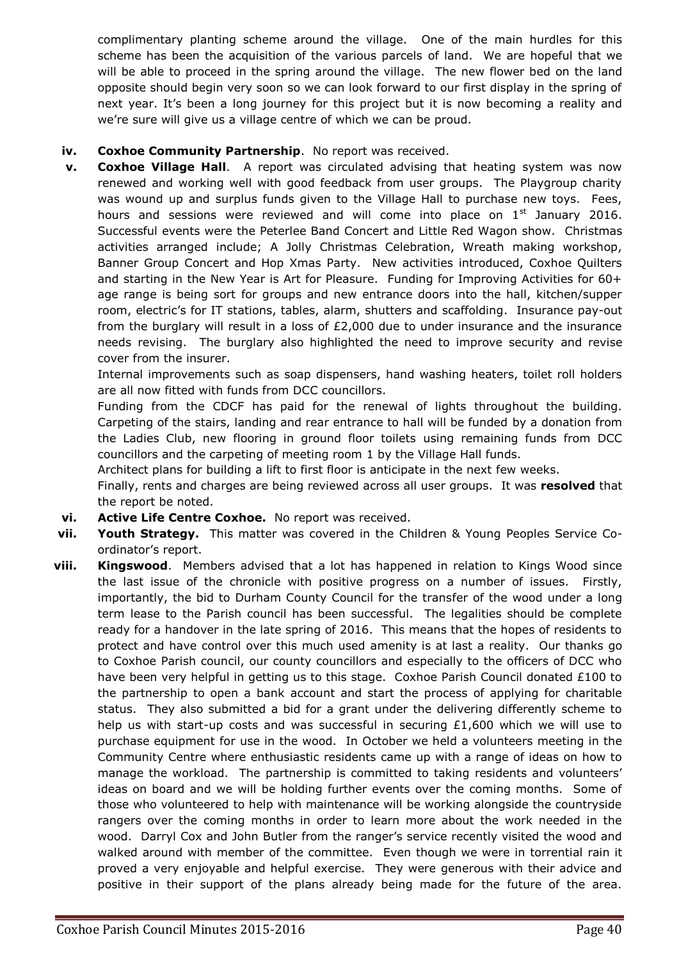complimentary planting scheme around the village. One of the main hurdles for this scheme has been the acquisition of the various parcels of land. We are hopeful that we will be able to proceed in the spring around the village. The new flower bed on the land opposite should begin very soon so we can look forward to our first display in the spring of next year. It's been a long journey for this project but it is now becoming a reality and we're sure will give us a village centre of which we can be proud.

- **iv. Coxhoe Community Partnership**. No report was received.
- **v. Coxhoe Village Hall**. A report was circulated advising that heating system was now renewed and working well with good feedback from user groups. The Playgroup charity was wound up and surplus funds given to the Village Hall to purchase new toys. Fees, hours and sessions were reviewed and will come into place on  $1<sup>st</sup>$  January 2016. Successful events were the Peterlee Band Concert and Little Red Wagon show. Christmas activities arranged include; A Jolly Christmas Celebration, Wreath making workshop, Banner Group Concert and Hop Xmas Party. New activities introduced, Coxhoe Quilters and starting in the New Year is Art for Pleasure. Funding for Improving Activities for 60+ age range is being sort for groups and new entrance doors into the hall, kitchen/supper room, electric's for IT stations, tables, alarm, shutters and scaffolding. Insurance pay-out from the burglary will result in a loss of  $E2,000$  due to under insurance and the insurance needs revising. The burglary also highlighted the need to improve security and revise cover from the insurer.

Internal improvements such as soap dispensers, hand washing heaters, toilet roll holders are all now fitted with funds from DCC councillors.

Funding from the CDCF has paid for the renewal of lights throughout the building. Carpeting of the stairs, landing and rear entrance to hall will be funded by a donation from the Ladies Club, new flooring in ground floor toilets using remaining funds from DCC councillors and the carpeting of meeting room 1 by the Village Hall funds.

Architect plans for building a lift to first floor is anticipate in the next few weeks. Finally, rents and charges are being reviewed across all user groups. It was **resolved** that the report be noted.

- **vi. Active Life Centre Coxhoe.** No report was received.
- **vii. Youth Strategy.** This matter was covered in the Children & Young Peoples Service Coordinator's report.
- **viii. Kingswood**. Members advised that a lot has happened in relation to Kings Wood since the last issue of the chronicle with positive progress on a number of issues. Firstly, importantly, the bid to Durham County Council for the transfer of the wood under a long term lease to the Parish council has been successful. The legalities should be complete ready for a handover in the late spring of 2016. This means that the hopes of residents to protect and have control over this much used amenity is at last a reality. Our thanks go to Coxhoe Parish council, our county councillors and especially to the officers of DCC who have been very helpful in getting us to this stage. Coxhoe Parish Council donated £100 to the partnership to open a bank account and start the process of applying for charitable status. They also submitted a bid for a grant under the delivering differently scheme to help us with start-up costs and was successful in securing  $£1,600$  which we will use to purchase equipment for use in the wood. In October we held a volunteers meeting in the Community Centre where enthusiastic residents came up with a range of ideas on how to manage the workload. The partnership is committed to taking residents and volunteers' ideas on board and we will be holding further events over the coming months. Some of those who volunteered to help with maintenance will be working alongside the countryside rangers over the coming months in order to learn more about the work needed in the wood. Darryl Cox and John Butler from the ranger's service recently visited the wood and walked around with member of the committee. Even though we were in torrential rain it proved a very enjoyable and helpful exercise. They were generous with their advice and positive in their support of the plans already being made for the future of the area.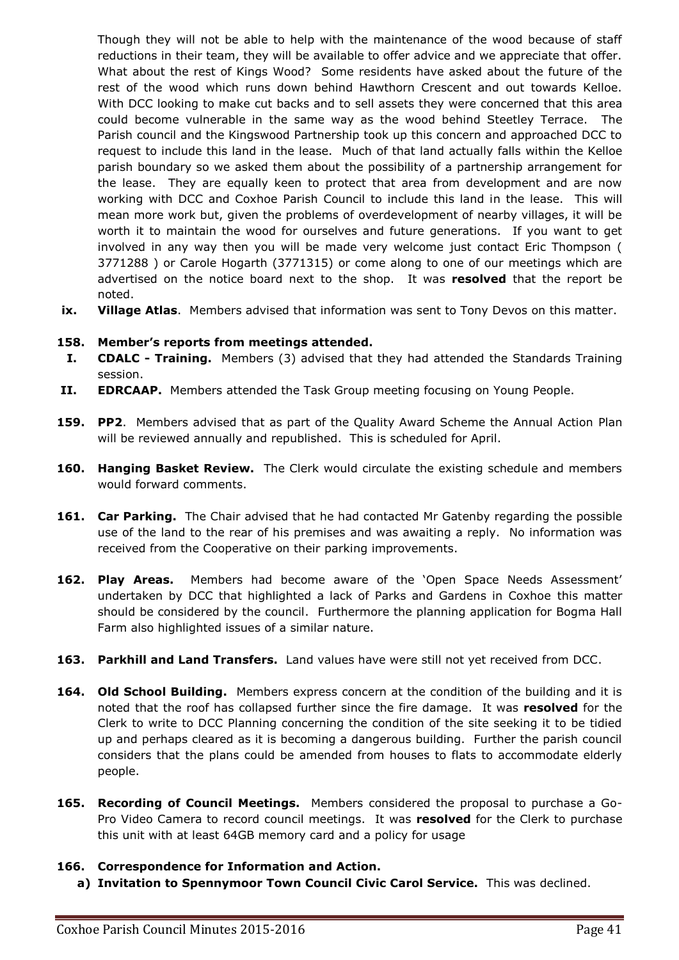Though they will not be able to help with the maintenance of the wood because of staff reductions in their team, they will be available to offer advice and we appreciate that offer. What about the rest of Kings Wood? Some residents have asked about the future of the rest of the wood which runs down behind Hawthorn Crescent and out towards Kelloe. With DCC looking to make cut backs and to sell assets they were concerned that this area could become vulnerable in the same way as the wood behind Steetley Terrace. The Parish council and the Kingswood Partnership took up this concern and approached DCC to request to include this land in the lease. Much of that land actually falls within the Kelloe parish boundary so we asked them about the possibility of a partnership arrangement for the lease. They are equally keen to protect that area from development and are now working with DCC and Coxhoe Parish Council to include this land in the lease. This will mean more work but, given the problems of overdevelopment of nearby villages, it will be worth it to maintain the wood for ourselves and future generations. If you want to get involved in any way then you will be made very welcome just contact Eric Thompson ( 3771288 ) or Carole Hogarth (3771315) or come along to one of our meetings which are advertised on the notice board next to the shop. It was **resolved** that the report be noted.

**ix. Village Atlas**. Members advised that information was sent to Tony Devos on this matter.

### **158. Member's reports from meetings attended.**

- **I. CDALC - Training.** Members (3) advised that they had attended the Standards Training session.
- **II. EDRCAAP.** Members attended the Task Group meeting focusing on Young People.
- **159. PP2**. Members advised that as part of the Quality Award Scheme the Annual Action Plan will be reviewed annually and republished. This is scheduled for April.
- **160. Hanging Basket Review.** The Clerk would circulate the existing schedule and members would forward comments.
- **161. Car Parking.** The Chair advised that he had contacted Mr Gatenby regarding the possible use of the land to the rear of his premises and was awaiting a reply. No information was received from the Cooperative on their parking improvements.
- **162. Play Areas.** Members had become aware of the 'Open Space Needs Assessment' undertaken by DCC that highlighted a lack of Parks and Gardens in Coxhoe this matter should be considered by the council. Furthermore the planning application for Bogma Hall Farm also highlighted issues of a similar nature.
- **163. Parkhill and Land Transfers.** Land values have were still not yet received from DCC.
- 164. **Old School Building.** Members express concern at the condition of the building and it is noted that the roof has collapsed further since the fire damage. It was **resolved** for the Clerk to write to DCC Planning concerning the condition of the site seeking it to be tidied up and perhaps cleared as it is becoming a dangerous building. Further the parish council considers that the plans could be amended from houses to flats to accommodate elderly people.
- **165. Recording of Council Meetings.** Members considered the proposal to purchase a Go-Pro Video Camera to record council meetings. It was **resolved** for the Clerk to purchase this unit with at least 64GB memory card and a policy for usage

#### **166. Correspondence for Information and Action.**

**a) Invitation to Spennymoor Town Council Civic Carol Service.** This was declined.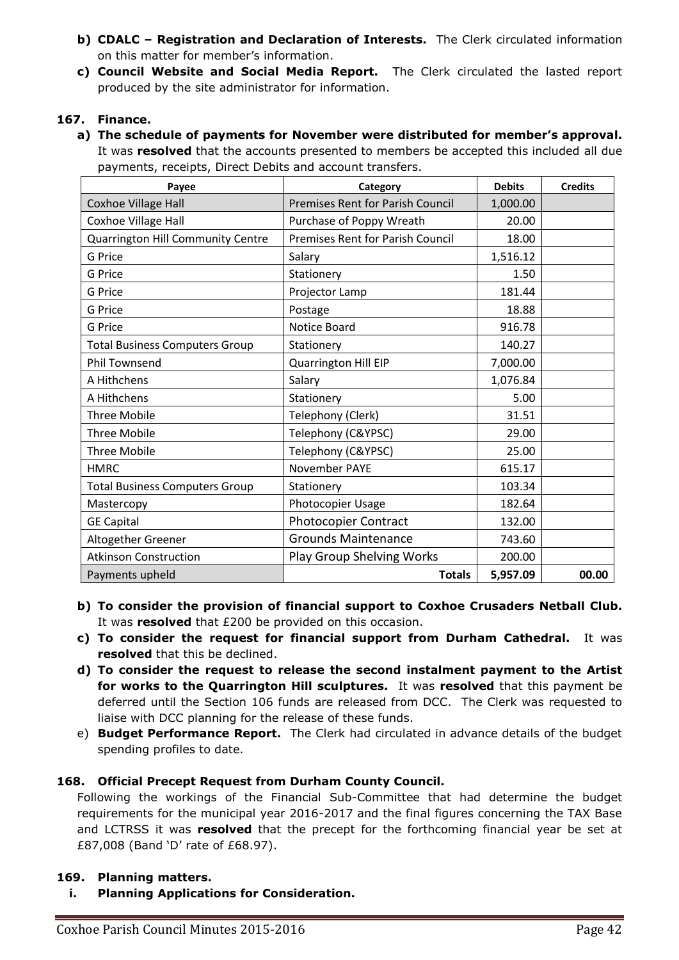- **b) CDALC – Registration and Declaration of Interests.** The Clerk circulated information on this matter for member's information.
- **c) Council Website and Social Media Report.** The Clerk circulated the lasted report produced by the site administrator for information.

## **167. Finance.**

**a) The schedule of payments for November were distributed for member's approval.**  It was **resolved** that the accounts presented to members be accepted this included all due payments, receipts, Direct Debits and account transfers.

| Payee                                 | Category                                | <b>Debits</b> | <b>Credits</b> |
|---------------------------------------|-----------------------------------------|---------------|----------------|
| <b>Coxhoe Village Hall</b>            | <b>Premises Rent for Parish Council</b> | 1,000.00      |                |
| Coxhoe Village Hall                   | Purchase of Poppy Wreath                | 20.00         |                |
| Quarrington Hill Community Centre     | <b>Premises Rent for Parish Council</b> | 18.00         |                |
| <b>G</b> Price                        | Salary                                  | 1,516.12      |                |
| <b>G</b> Price                        | Stationery                              | 1.50          |                |
| <b>G</b> Price                        | Projector Lamp                          | 181.44        |                |
| G Price                               | Postage                                 | 18.88         |                |
| <b>G</b> Price                        | Notice Board                            | 916.78        |                |
| <b>Total Business Computers Group</b> | Stationery                              | 140.27        |                |
| <b>Phil Townsend</b>                  | <b>Quarrington Hill EIP</b>             | 7,000.00      |                |
| A Hithchens                           | Salary                                  | 1,076.84      |                |
| A Hithchens                           | Stationery                              | 5.00          |                |
| <b>Three Mobile</b>                   | Telephony (Clerk)                       | 31.51         |                |
| <b>Three Mobile</b>                   | Telephony (C&YPSC)                      | 29.00         |                |
| <b>Three Mobile</b>                   | Telephony (C&YPSC)                      | 25.00         |                |
| <b>HMRC</b>                           | November PAYE                           | 615.17        |                |
| <b>Total Business Computers Group</b> | Stationery                              | 103.34        |                |
| Mastercopy                            | Photocopier Usage                       | 182.64        |                |
| <b>GE Capital</b>                     | <b>Photocopier Contract</b>             | 132.00        |                |
| Altogether Greener                    | <b>Grounds Maintenance</b>              | 743.60        |                |
| <b>Atkinson Construction</b>          | Play Group Shelving Works               | 200.00        |                |
| Payments upheld                       | <b>Totals</b>                           | 5,957.09      | 00.00          |

- **b) To consider the provision of financial support to Coxhoe Crusaders Netball Club.** It was **resolved** that £200 be provided on this occasion.
- **c) To consider the request for financial support from Durham Cathedral.** It was **resolved** that this be declined.
- **d) To consider the request to release the second instalment payment to the Artist for works to the Quarrington Hill sculptures.** It was **resolved** that this payment be deferred until the Section 106 funds are released from DCC. The Clerk was requested to liaise with DCC planning for the release of these funds.
- e) **Budget Performance Report.** The Clerk had circulated in advance details of the budget spending profiles to date.

# **168. Official Precept Request from Durham County Council.**

Following the workings of the Financial Sub-Committee that had determine the budget requirements for the municipal year 2016-2017 and the final figures concerning the TAX Base and LCTRSS it was **resolved** that the precept for the forthcoming financial year be set at £87,008 (Band 'D' rate of £68.97).

## **169. Planning matters.**

**i. Planning Applications for Consideration.**